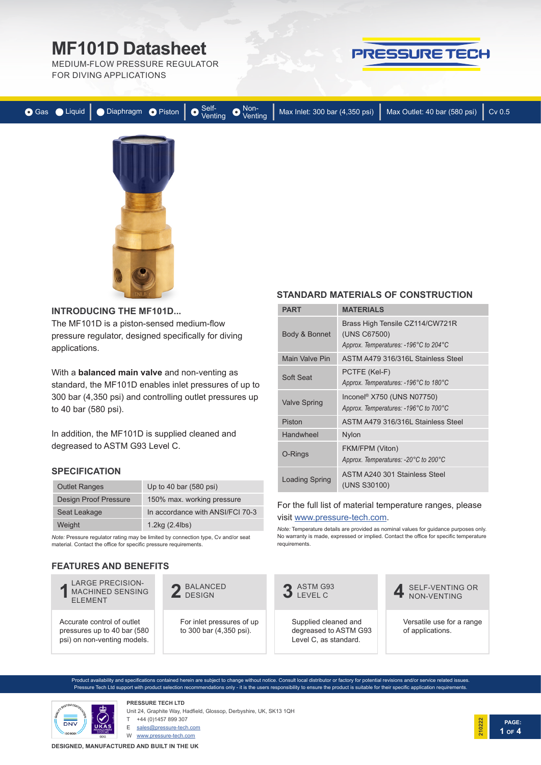# **MF101D Datasheet**

MEDIUM-FLOW PRESSURE REGULATOR FOR DIVING APPLICATIONS



|  |  |  | ● Gas ● Liquid   ● Diaphragm ● Piston   ● Self-<br>Venting ● Venting Max Inlet: 300 bar (4,350 psi)   Max Outlet: 40 bar (580 psi)   Cv 0.5 |  |
|--|--|--|---------------------------------------------------------------------------------------------------------------------------------------------|--|
|  |  |  |                                                                                                                                             |  |



### **INTRODUCING THE MF101D...**

The MF101D is a piston-sensed medium-flow pressure regulator, designed specifically for diving applications.

With a **balanced main valve** and non-venting as standard, the MF101D enables inlet pressures of up to 300 bar (4,350 psi) and controlling outlet pressures up to 40 bar (580 psi).

In addition, the MF101D is supplied cleaned and degreased to ASTM G93 Level C.

## **SPECIFICATION**

| <b>Outlet Ranges</b>         | Up to 40 bar $(580 \text{ psi})$ |
|------------------------------|----------------------------------|
| <b>Design Proof Pressure</b> | 150% max. working pressure       |
| Seat Leakage                 | In accordance with ANSI/FCI 70-3 |
| Weight                       | 1.2kg (2.4lbs)                   |

*Note:* Pressure regulator rating may be limited by connection type, Cv and/or seat material. Contact the office for specific pressure requirements.

## **FEATURES AND BENEFITS**



2 BALANCED

For inlet pressures of up to 300 bar (4,350 psi).

## **STANDARD MATERIALS OF CONSTRUCTION**

| PART                  | <b>MATERIALS</b>                                                                         |  |  |  |
|-----------------------|------------------------------------------------------------------------------------------|--|--|--|
| Body & Bonnet         | Brass High Tensile CZ114/CW721R<br>(UNS C67500)<br>Approx. Temperatures: -196°C to 204°C |  |  |  |
| Main Valve Pin        | ASTM A479 316/316L Stainless Steel                                                       |  |  |  |
| Soft Seat             | PCTFE (Kel-F)<br>Approx. Temperatures: -196°C to 180°C                                   |  |  |  |
| <b>Valve Spring</b>   | Inconel <sup>®</sup> X750 (UNS N07750)<br>Approx. Temperatures: -196°C to 700°C          |  |  |  |
| Piston                | ASTM A479 316/316L Stainless Steel                                                       |  |  |  |
| Handwheel             | <b>Nylon</b>                                                                             |  |  |  |
| O-Rings               | FKM/FPM (Viton)<br>Approx. Temperatures: -20°C to 200°C                                  |  |  |  |
| <b>Loading Spring</b> | ASTM A240 301 Stainless Steel<br>(UNS S30100)                                            |  |  |  |

### For the full list of material temperature ranges, please visit www.pressure-tech.com.

Note: Temperature details are provided as nominal values for guidance purposes only. No warranty is made, expressed or implied. Contact the office for specific temperature requirements.



Supplied cleaned and degreased to ASTM G93 Level C, as standard.

SELF-VENTING OR **4** NON-VENTING

Versatile use for a range of applications.

Product availability and specifications contained herein are subject to change without notice. Consult local distributor or factory for potential revisions and/or service related issues. Pressure Tech Ltd support with product selection recommendations only - it is the users responsibility to ensure the product is suitable for their specific application requirements.



**PRESSURE TECH LTD** Unit 24, Graphite Way, Hadfield, Glossop, Derbyshire, UK, SK13 1QH

T +44 (0)1457 899 307

E sales@pressure-tech.com

W www.pressure-tech.com

**DESIGNED, MANUFACTURED AND BUILT IN THE UK**

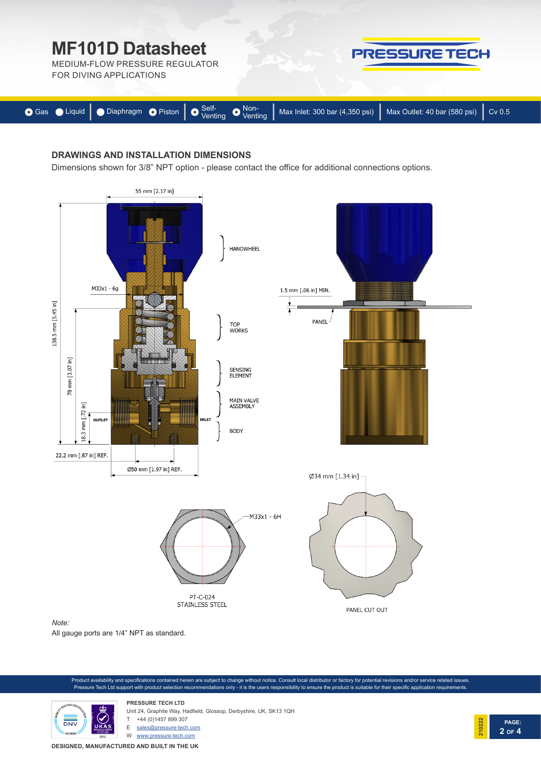

## **DRAWINGS AND INSTALLATION DIMENSIONS**

Dimensions shown for 3/8" NPT option - please contact the office for additional connections options.



All gauge ports are 1/4" NPT as standard.





**PRESSURE TECH LTD** Unit 24, Graphite Way, Hadfield, Glossop, Derbyshire, UK, SK13 1QH +44 (0)1457 899 307

E sales@pressure-tech.com

W www.pressure-tech.com

**DESIGNED, MANUFACTURED AND BUILT IN THE UK**

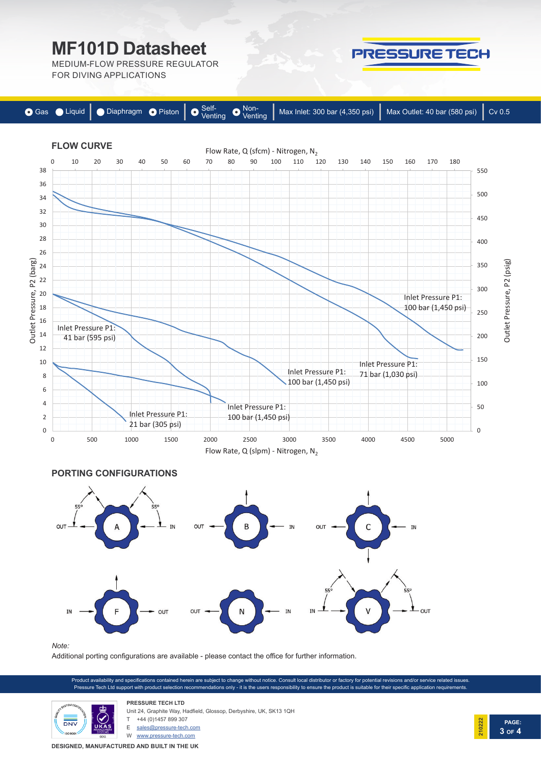# **MF101D Datasheet**

MEDIUM-FLOW PRESSURE REGULATOR FOR DIVING APPLICATIONS







#### *Note:*

Additional porting configurations are available - please contact the office for further information.

Product availability and specifications contained herein are subject to change without notice. Consult local distributor or factory for potential revisions and/or service related issues. Pressure Tech Ltd support with product selection recommendations only - it is the users responsibility to ensure the product is suitable for their specific application requirements.



**PRESSURE TECH LTD** Unit 24, Graphite Way, Hadfield, Glossop, Derbyshire, UK, SK13 1QH +44 (0)1457 899 307

E sales@pressure-tech.com

W www.pressure-tech.com